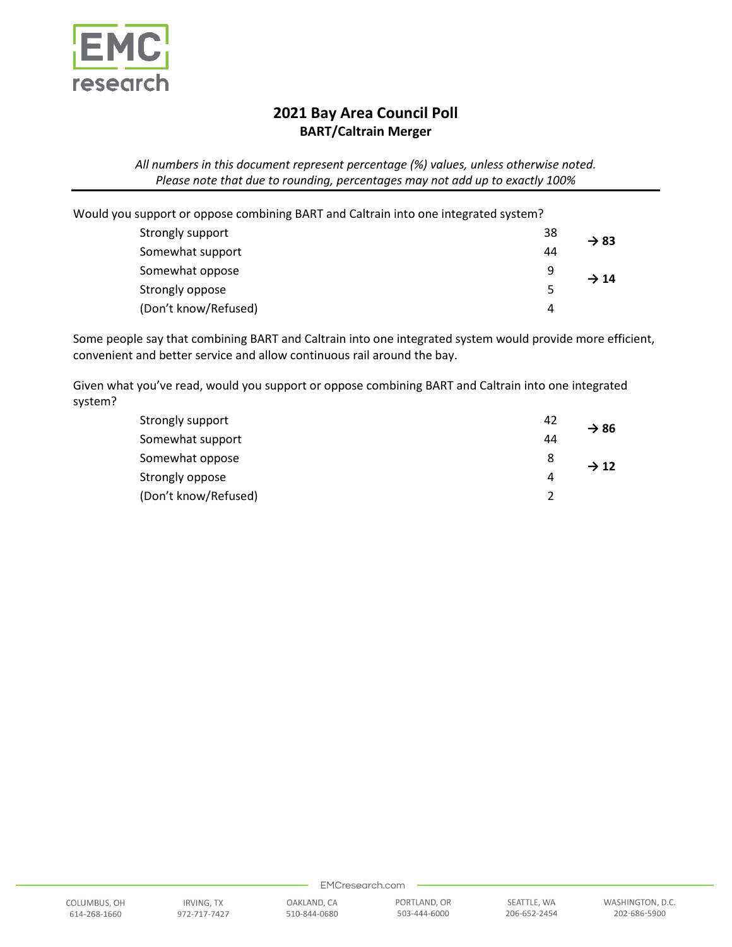

## **2021 Bay Area Council Poll BART/Caltrain Merger**

*All numbers in this document represent percentage (%) values, unless otherwise noted. Please note that due to rounding, percentages may not add up to exactly 100%*

Would you support or oppose combining BART and Caltrain into one integrated system?

| Strongly support     | 38 | $\rightarrow$ 83 |
|----------------------|----|------------------|
| Somewhat support     | 44 |                  |
| Somewhat oppose      | 9  | $\rightarrow$ 14 |
| Strongly oppose      | 5  |                  |
| (Don't know/Refused) | 4  |                  |

Some people say that combining BART and Caltrain into one integrated system would provide more efficient, convenient and better service and allow continuous rail around the bay.

Given what you've read, would you support or oppose combining BART and Caltrain into one integrated system?

| Strongly support     | -42 | $\rightarrow$ 86 |
|----------------------|-----|------------------|
| Somewhat support     | 44  |                  |
| Somewhat oppose      | 8   | $\rightarrow$ 12 |
| Strongly oppose      | 4   |                  |
| (Don't know/Refused) |     |                  |

510-844-0680

EMCresearch.com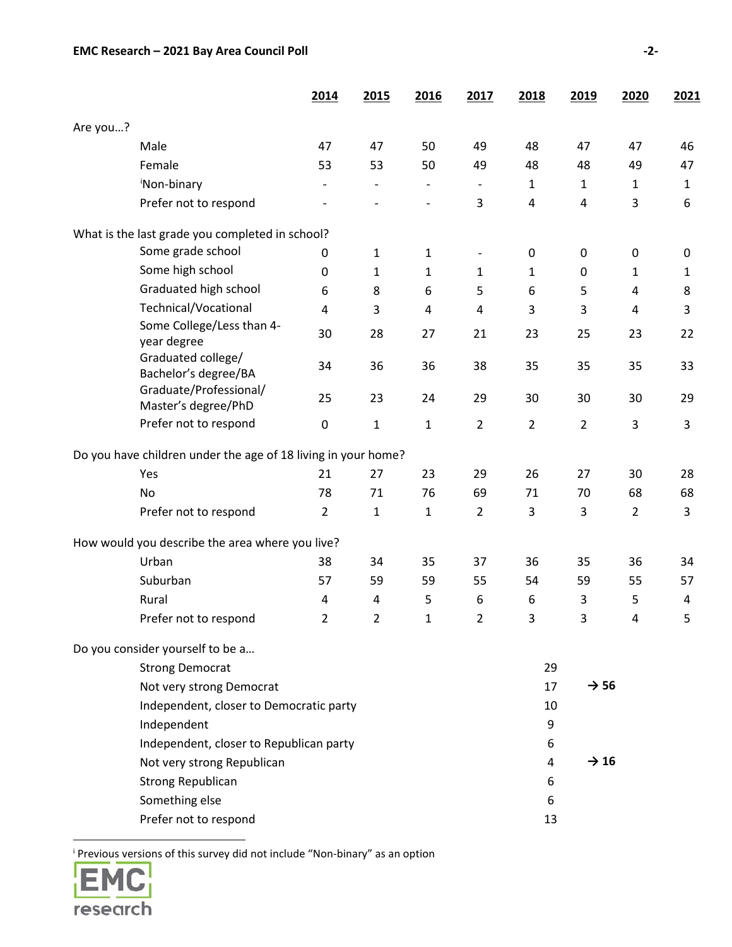|          |                                                               | 2014           | 2015           | 2016         | 2017                     | 2018           | 2019             | 2020           | <u>2021</u>  |
|----------|---------------------------------------------------------------|----------------|----------------|--------------|--------------------------|----------------|------------------|----------------|--------------|
| Are you? |                                                               |                |                |              |                          |                |                  |                |              |
|          | Male                                                          | 47             | 47             | 50           | 49                       | 48             | 47               | 47             | 46           |
|          | Female                                                        | 53             | 53             | 50           | 49                       | 48             | 48               | 49             | 47           |
|          | 'Non-binary                                                   |                |                |              |                          | $\mathbf{1}$   | $\mathbf{1}$     | 1              | 1            |
|          | Prefer not to respond                                         |                |                |              | 3                        | 4              | 4                | 3              | 6            |
|          | What is the last grade you completed in school?               |                |                |              |                          |                |                  |                |              |
|          | Some grade school                                             | 0              | $\mathbf{1}$   | $\mathbf{1}$ | $\overline{\phantom{a}}$ | 0              | 0                | 0              | 0            |
|          | Some high school                                              | $\pmb{0}$      | $\mathbf{1}$   | $\mathbf{1}$ | 1                        | $\mathbf{1}$   | 0                | $\mathbf{1}$   | $\mathbf{1}$ |
|          | Graduated high school                                         | 6              | 8              | 6            | 5                        | 6              | 5                | 4              | 8            |
|          | Technical/Vocational                                          | 4              | 3              | 4            | 4                        | 3              | 3                | 4              | 3            |
|          | Some College/Less than 4-<br>year degree                      | 30             | 28             | 27           | 21                       | 23             | 25               | 23             | 22           |
|          | Graduated college/<br>Bachelor's degree/BA                    | 34             | 36             | 36           | 38                       | 35             | 35               | 35             | 33           |
|          | Graduate/Professional/<br>Master's degree/PhD                 | 25             | 23             | 24           | 29                       | 30             | 30               | 30             | 29           |
|          | Prefer not to respond                                         | $\pmb{0}$      | $\mathbf 1$    | $\mathbf{1}$ | $\overline{2}$           | $\overline{2}$ | $\overline{2}$   | 3              | 3            |
|          | Do you have children under the age of 18 living in your home? |                |                |              |                          |                |                  |                |              |
|          | Yes                                                           | 21             | 27             | 23           | 29                       | 26             | 27               | 30             | 28           |
|          | No                                                            | 78             | 71             | 76           | 69                       | 71             | 70               | 68             | 68           |
|          | Prefer not to respond                                         | $\overline{2}$ | $\mathbf 1$    | $\mathbf{1}$ | $\overline{2}$           | 3              | 3                | $\overline{2}$ | 3            |
|          | How would you describe the area where you live?               |                |                |              |                          |                |                  |                |              |
|          | Urban                                                         | 38             | 34             | 35           | 37                       | 36             | 35               | 36             | 34           |
|          | Suburban                                                      | 57             | 59             | 59           | 55                       | 54             | 59               | 55             | 57           |
|          | Rural                                                         | 4              | $\overline{4}$ | 5            | 6                        | 6              | 3                | 5              | 4            |
|          | Prefer not to respond                                         | $\overline{2}$ | $\overline{2}$ | $\mathbf{1}$ | $\overline{2}$           | 3              | 3                | 4              | 5            |
|          | Do you consider yourself to be a                              |                |                |              |                          |                |                  |                |              |
|          | <b>Strong Democrat</b>                                        |                |                |              |                          | 29             |                  |                |              |
|          | Not very strong Democrat                                      |                |                |              |                          | 17             | $\rightarrow$ 56 |                |              |
|          | Independent, closer to Democratic party                       |                |                |              |                          | 10             |                  |                |              |
|          | Independent                                                   |                |                |              |                          | 9              |                  |                |              |
|          | Independent, closer to Republican party                       |                |                |              |                          | 6              |                  |                |              |
|          | Not very strong Republican                                    |                |                |              |                          |                | $\rightarrow$ 16 |                |              |
|          | <b>Strong Republican</b>                                      |                |                |              |                          | 6              |                  |                |              |
|          | Something else                                                |                |                |              |                          | 6              |                  |                |              |
|          | Prefer not to respond                                         |                |                |              |                          | 13             |                  |                |              |

<span id="page-1-0"></span><sup>i</sup> Previous versions of this survey did not include "Non-binary" as an option

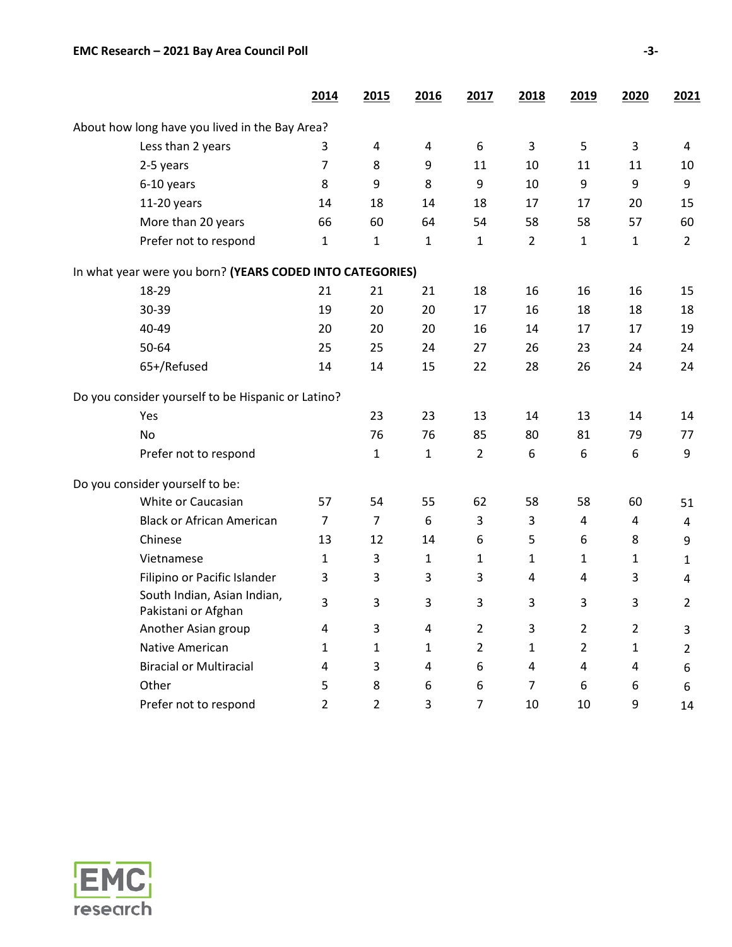|                                                           | 2014           | 2015           | 2016         | 2017           | 2018           | 2019           | 2020           | 2021                    |
|-----------------------------------------------------------|----------------|----------------|--------------|----------------|----------------|----------------|----------------|-------------------------|
| About how long have you lived in the Bay Area?            |                |                |              |                |                |                |                |                         |
| Less than 2 years                                         | 3              | $\overline{4}$ | 4            | 6              | 3              | 5              | 3              | 4                       |
| 2-5 years                                                 | $\overline{7}$ | 8              | 9            | 11             | 10             | 11             | 11             | 10                      |
| 6-10 years                                                | 8              | 9              | 8            | 9              | 10             | 9              | 9              | 9                       |
| $11-20$ years                                             | 14             | 18             | 14           | 18             | 17             | 17             | 20             | 15                      |
| More than 20 years                                        | 66             | 60             | 64           | 54             | 58             | 58             | 57             | 60                      |
| Prefer not to respond                                     | $\mathbf{1}$   | $\mathbf{1}$   | $\mathbf{1}$ | 1              | $\overline{2}$ | $\mathbf{1}$   | 1              | $\overline{2}$          |
| In what year were you born? (YEARS CODED INTO CATEGORIES) |                |                |              |                |                |                |                |                         |
| 18-29                                                     | 21             | 21             | 21           | 18             | 16             | 16             | 16             | 15                      |
| 30-39                                                     | 19             | 20             | 20           | 17             | 16             | 18             | 18             | 18                      |
| 40-49                                                     | 20             | 20             | 20           | 16             | 14             | 17             | 17             | 19                      |
| 50-64                                                     | 25             | 25             | 24           | 27             | 26             | 23             | 24             | 24                      |
| 65+/Refused                                               | 14             | 14             | 15           | 22             | 28             | 26             | 24             | 24                      |
| Do you consider yourself to be Hispanic or Latino?        |                |                |              |                |                |                |                |                         |
| Yes                                                       |                | 23             | 23           | 13             | 14             | 13             | 14             | 14                      |
| <b>No</b>                                                 |                | 76             | 76           | 85             | 80             | 81             | 79             | 77                      |
| Prefer not to respond                                     |                | $\mathbf{1}$   | $\mathbf{1}$ | $\overline{2}$ | 6              | 6              | 6              | 9                       |
| Do you consider yourself to be:                           |                |                |              |                |                |                |                |                         |
| White or Caucasian                                        | 57             | 54             | 55           | 62             | 58             | 58             | 60             | 51                      |
| <b>Black or African American</b>                          | $\overline{7}$ | $\overline{7}$ | 6            | 3              | 3              | 4              | $\overline{4}$ | $\overline{4}$          |
| Chinese                                                   | 13             | 12             | 14           | 6              | 5              | 6              | 8              | 9                       |
| Vietnamese                                                | $\mathbf{1}$   | 3              | $\mathbf{1}$ | 1              | $\mathbf{1}$   | $\mathbf{1}$   | 1              | $\mathbf{1}$            |
| Filipino or Pacific Islander                              | 3              | 3              | 3            | 3              | 4              | 4              | 3              | $\overline{\mathbf{4}}$ |
| South Indian, Asian Indian,<br>Pakistani or Afghan        | 3              | 3              | 3            | 3              | 3              | 3              | 3              | $\overline{2}$          |
| Another Asian group                                       | 4              | 3              | 4            | $\overline{2}$ | 3              | $\overline{2}$ | $\overline{2}$ | 3                       |
| Native American                                           | $\mathbf{1}$   | 1              | $\mathbf{1}$ | 2              | 1              | $\overline{2}$ | 1              | $\overline{2}$          |
| <b>Biracial or Multiracial</b>                            | 4              | 3              | 4            | 6              | 4              | 4              | 4              | 6                       |
| Other                                                     | 5              | 8              | 6            | 6              | $\overline{7}$ | 6              | 6              | 6                       |
| Prefer not to respond                                     | $\overline{2}$ | $\overline{2}$ | 3            | 7              | 10             | 10             | 9              | 14                      |